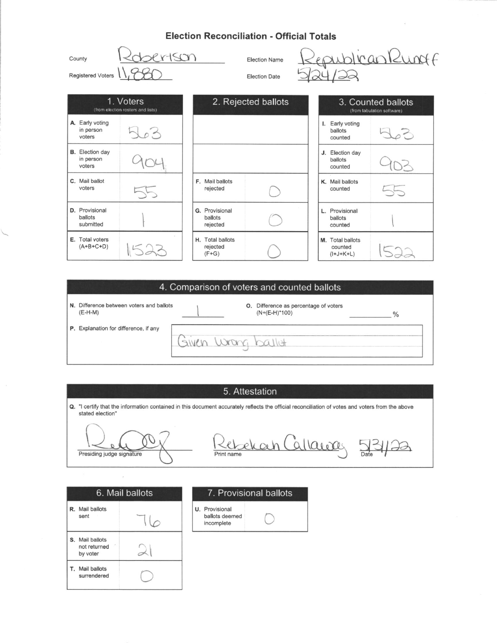# Flootian Beneneilletian Official Tatala

| Election Reconciliation - Official Totals     |                                                |                                         |                                              |                                            |                                                  |  |
|-----------------------------------------------|------------------------------------------------|-----------------------------------------|----------------------------------------------|--------------------------------------------|--------------------------------------------------|--|
| County<br>Registered Voters                   | $r+\leq cn$                                    |                                         | <b>Election Name</b><br><b>Election Date</b> |                                            | dicankungf                                       |  |
|                                               | 1. Voters<br>(from election rosters and lists) |                                         | 2. Rejected ballots                          |                                            | 3. Counted ballots<br>(from tabulation software) |  |
| A. Early voting<br>in person<br>voters        | $\sim$ $\sim$                                  |                                         |                                              | Early voting<br>I.<br>ballots<br>counted   |                                                  |  |
| <b>B.</b> Election day<br>in person<br>voters |                                                |                                         |                                              | J. Election day<br>ballots<br>counted      |                                                  |  |
| C. Mail ballot<br>voters                      |                                                | F. Mail ballots<br>rejected             |                                              | K. Mail ballots<br>counted                 | $-5$                                             |  |
| D. Provisional<br>ballots<br>submitted        |                                                | G. Provisional<br>ballots<br>rejected   |                                              | L. Provisional<br>ballots<br>counted       |                                                  |  |
| E. Total voters<br>$(A+B+C+D)$                |                                                | H. Total ballots<br>rejected<br>$(F+G)$ |                                              | M. Total ballots<br>counted<br>$(I+J+K+L)$ |                                                  |  |

# 4. Comparison of voters and counted ballots **O.** Difference as percentage of voters  $(N+(E-H)^*100)$ N. Difference between voters and ballots (E-H-M)  $\frac{0}{0}$ P. Explanation for difference, if any Given wong ballet

#### 5. Attestation

Q. "I certify that the information contained in this document accurately reflects the official reconciliation of votes and voters from the above stated election"

Presiding judge signature

Rebekah Callaway 53 Print name

| 6. Mail ballots                                    |  |  |  |  |
|----------------------------------------------------|--|--|--|--|
| R. Mail ballots<br>sent                            |  |  |  |  |
| <b>S.</b> Mail ballots<br>not returned<br>by voter |  |  |  |  |

T. Mail ballots surrendered

#### 7. Provisional ballots

U. Provisional ballots deemed incomplete